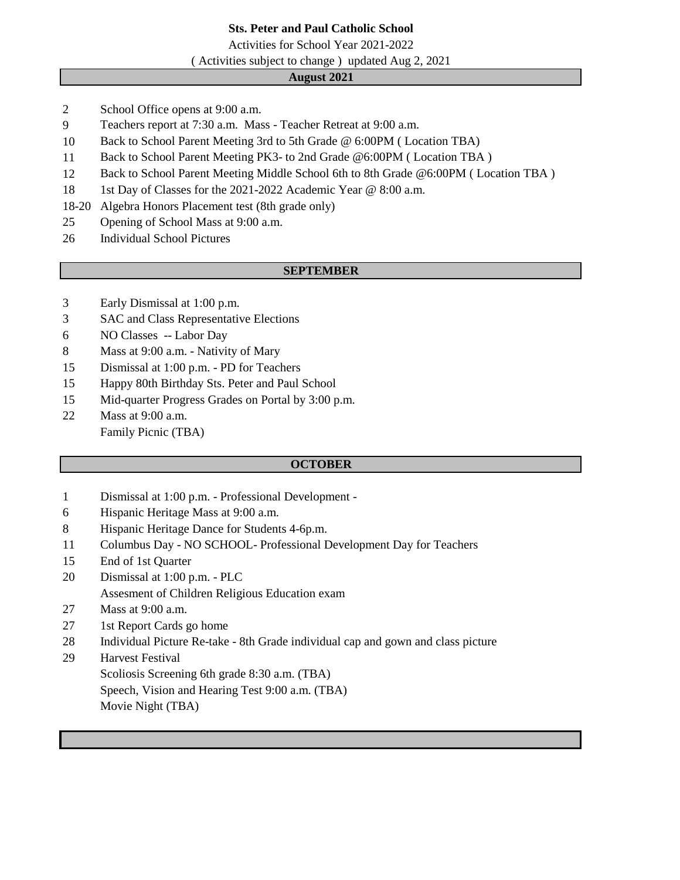# **Sts. Peter and Paul Catholic School**

Activities for School Year 2021-2022

( Activities subject to change ) updated Aug 2, 2021

## **August 2021**

- School Office opens at 9:00 a.m.
- Teachers report at 7:30 a.m. Mass Teacher Retreat at 9:00 a.m.
- Back to School Parent Meeting 3rd to 5th Grade @ 6:00PM ( Location TBA)
- Back to School Parent Meeting PK3- to 2nd Grade @6:00PM ( Location TBA )
- Back to School Parent Meeting Middle School 6th to 8th Grade @6:00PM ( Location TBA )
- 18 1st Day of Classes for the 2021-2022 Academic Year @ 8:00 a.m.
- 18-20 Algebra Honors Placement test (8th grade only)
- Opening of School Mass at 9:00 a.m.
- Individual School Pictures

## **SEPTEMBER**

- Early Dismissal at 1:00 p.m.
- SAC and Class Representative Elections
- NO Classes -- Labor Day
- Mass at 9:00 a.m. Nativity of Mary
- Dismissal at 1:00 p.m. PD for Teachers
- Happy 80th Birthday Sts. Peter and Paul School
- Mid-quarter Progress Grades on Portal by 3:00 p.m.
- Mass at 9:00 a.m.
	- Family Picnic (TBA)

## **OCTOBER**

- Dismissal at 1:00 p.m. Professional Development -
- Hispanic Heritage Mass at 9:00 a.m.
- Hispanic Heritage Dance for Students 4-6p.m.
- Columbus Day NO SCHOOL- Professional Development Day for Teachers
- End of 1st Quarter
- Dismissal at 1:00 p.m. PLC Assesment of Children Religious Education exam
- Mass at 9:00 a.m.
- 1st Report Cards go home
- Individual Picture Re-take 8th Grade individual cap and gown and class picture
- Harvest Festival

Scoliosis Screening 6th grade 8:30 a.m. (TBA)

Speech, Vision and Hearing Test 9:00 a.m. (TBA) Movie Night (TBA)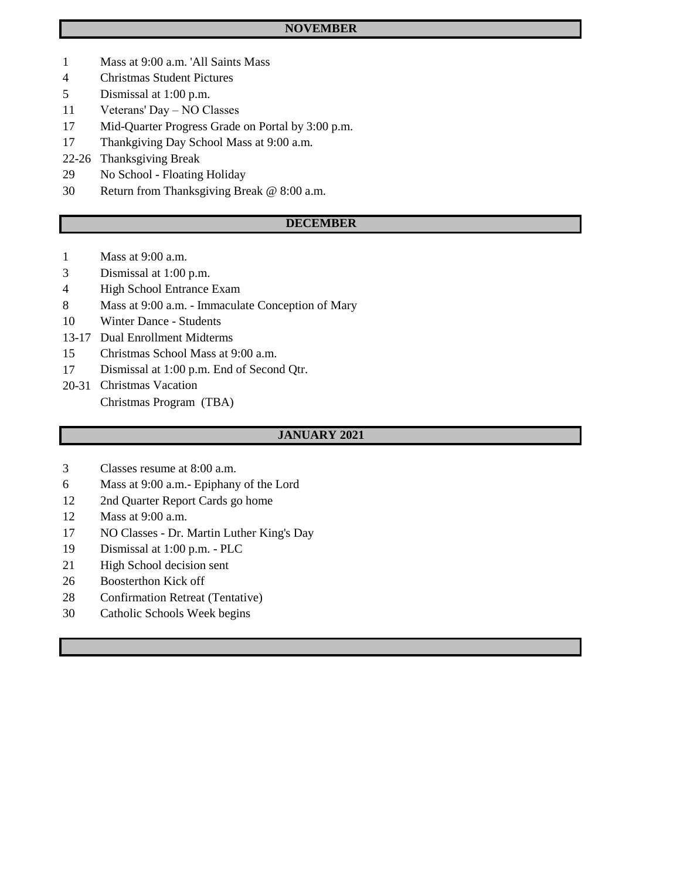## **NOVEMBER**

- Mass at 9:00 a.m. 'All Saints Mass
- Christmas Student Pictures
- Dismissal at 1:00 p.m.
- Veterans' Day NO Classes
- Mid-Quarter Progress Grade on Portal by 3:00 p.m.
- Thankgiving Day School Mass at 9:00 a.m.
- 22-26 Thanksgiving Break
- No School Floating Holiday
- Return from Thanksgiving Break @ 8:00 a.m.

## **DECEMBER**

- Mass at 9:00 a.m.
- Dismissal at 1:00 p.m.
- High School Entrance Exam
- Mass at 9:00 a.m. Immaculate Conception of Mary
- Winter Dance Students
- 13-17 Dual Enrollment Midterms
- Christmas School Mass at 9:00 a.m.
- Dismissal at 1:00 p.m. End of Second Qtr.
- 20-31 Christmas Vacation Christmas Program (TBA)

#### **JANUARY 2021**

- Classes resume at 8:00 a.m.
- Mass at 9:00 a.m.- Epiphany of the Lord
- 12 2nd Quarter Report Cards go home
- Mass at 9:00 a.m.
- NO Classes Dr. Martin Luther King's Day
- Dismissal at 1:00 p.m. PLC
- High School decision sent
- Boosterthon Kick off
- Confirmation Retreat (Tentative)
- Catholic Schools Week begins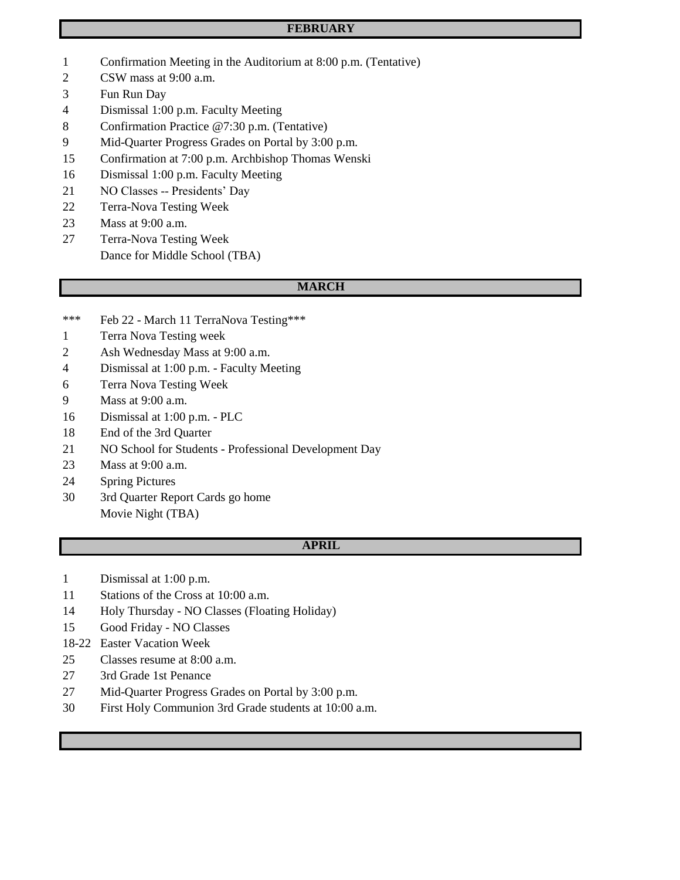## **FEBRUARY**

- Confirmation Meeting in the Auditorium at 8:00 p.m. (Tentative)
- CSW mass at 9:00 a.m.
- Fun Run Day
- Dismissal 1:00 p.m. Faculty Meeting
- Confirmation Practice @7:30 p.m. (Tentative)
- Mid-Quarter Progress Grades on Portal by 3:00 p.m.
- Confirmation at 7:00 p.m. Archbishop Thomas Wenski
- Dismissal 1:00 p.m. Faculty Meeting
- NO Classes -- Presidents' Day
- Terra-Nova Testing Week
- Mass at 9:00 a.m.
- Terra-Nova Testing Week Dance for Middle School (TBA)

#### **MARCH**

- \*\*\* Feb 22 March 11 TerraNova Testing\*\*\*
- Terra Nova Testing week
- Ash Wednesday Mass at 9:00 a.m.
- Dismissal at 1:00 p.m. Faculty Meeting
- Terra Nova Testing Week
- Mass at 9:00 a.m.
- Dismissal at 1:00 p.m. PLC
- End of the 3rd Quarter
- NO School for Students Professional Development Day
- Mass at 9:00 a.m.
- Spring Pictures
- 3rd Quarter Report Cards go home Movie Night (TBA)

## **APRIL**

- Dismissal at 1:00 p.m.
- Stations of the Cross at 10:00 a.m.
- Holy Thursday NO Classes (Floating Holiday)
- Good Friday NO Classes
- 18-22 Easter Vacation Week
- Classes resume at 8:00 a.m.
- 3rd Grade 1st Penance
- Mid-Quarter Progress Grades on Portal by 3:00 p.m.
- First Holy Communion 3rd Grade students at 10:00 a.m.